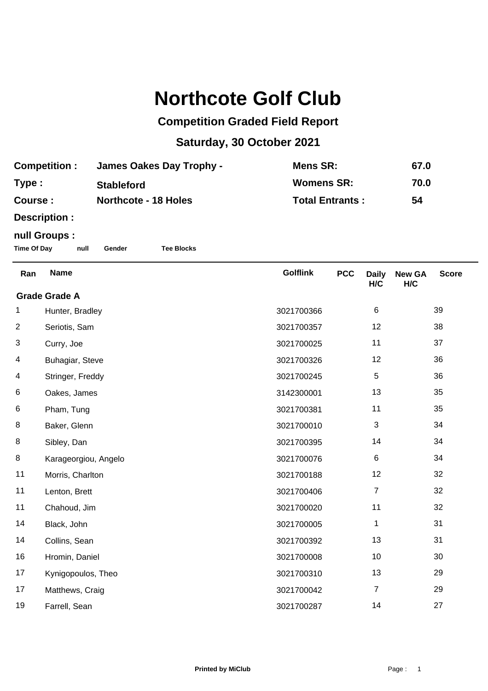## **Northcote Golf Club**

## **Competition Graded Field Report**

## **Saturday, 30 October 2021**

| <b>Competition:</b> | <b>James Oakes Day Trophy -</b> | Mens SR:               | 67.0 |
|---------------------|---------------------------------|------------------------|------|
| Type:               | <b>Stableford</b>               | <b>Womens SR:</b>      | 70.0 |
| <b>Course:</b>      | <b>Northcote - 18 Holes</b>     | <b>Total Entrants:</b> | 54   |

**Description :**

## **null Groups :**

**Time Of Day null Gender Tee Blocks**

| Ran                  | <b>Name</b>          | <b>Golflink</b> | <b>PCC</b> | <b>Daily</b><br>H/C | <b>New GA</b><br>H/C | <b>Score</b> |  |
|----------------------|----------------------|-----------------|------------|---------------------|----------------------|--------------|--|
| <b>Grade Grade A</b> |                      |                 |            |                     |                      |              |  |
| 1                    | Hunter, Bradley      | 3021700366      |            | $\,6\,$             |                      | 39           |  |
| $\overline{2}$       | Seriotis, Sam        | 3021700357      |            | 12                  |                      | 38           |  |
| 3                    | Curry, Joe           | 3021700025      |            | 11                  |                      | 37           |  |
| 4                    | Buhagiar, Steve      | 3021700326      |            | 12                  |                      | 36           |  |
| 4                    | Stringer, Freddy     | 3021700245      |            | 5                   |                      | 36           |  |
| 6                    | Oakes, James         | 3142300001      |            | 13                  |                      | 35           |  |
| 6                    | Pham, Tung           | 3021700381      |            | 11                  |                      | 35           |  |
| 8                    | Baker, Glenn         | 3021700010      |            | 3                   |                      | 34           |  |
| 8                    | Sibley, Dan          | 3021700395      |            | 14                  |                      | 34           |  |
| 8                    | Karageorgiou, Angelo | 3021700076      |            | $\,6$               |                      | 34           |  |
| 11                   | Morris, Charlton     | 3021700188      |            | 12                  |                      | 32           |  |
| 11                   | Lenton, Brett        | 3021700406      |            | $\overline{7}$      |                      | 32           |  |
| 11                   | Chahoud, Jim         | 3021700020      |            | 11                  |                      | 32           |  |
| 14                   | Black, John          | 3021700005      |            | 1                   |                      | 31           |  |
| 14                   | Collins, Sean        | 3021700392      |            | 13                  |                      | 31           |  |
| 16                   | Hromin, Daniel       | 3021700008      |            | 10                  |                      | 30           |  |
| 17                   | Kynigopoulos, Theo   | 3021700310      |            | 13                  |                      | 29           |  |
| 17                   | Matthews, Craig      | 3021700042      |            | $\overline{7}$      |                      | 29           |  |
| 19                   | Farrell, Sean        | 3021700287      |            | 14                  |                      | 27           |  |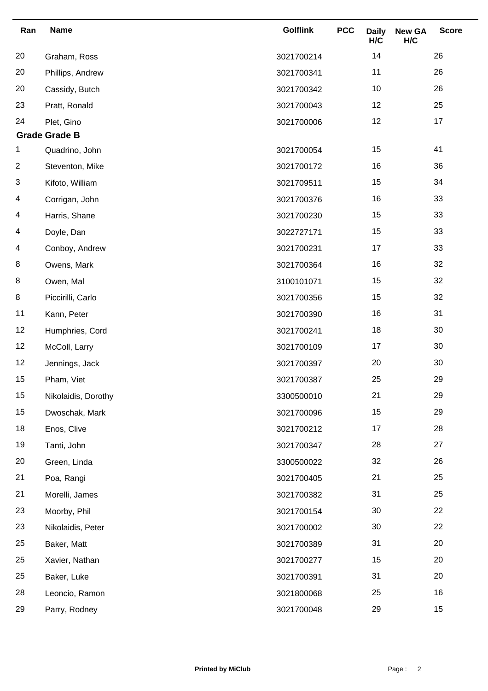| Ran            | <b>Name</b>          | <b>Golflink</b> | <b>PCC</b> | <b>Daily</b><br>H/C | <b>New GA</b><br>H/C | <b>Score</b> |
|----------------|----------------------|-----------------|------------|---------------------|----------------------|--------------|
| 20             | Graham, Ross         | 3021700214      |            | 14                  |                      | 26           |
| 20             | Phillips, Andrew     | 3021700341      |            | 11                  |                      | 26           |
| 20             | Cassidy, Butch       | 3021700342      |            | 10                  |                      | 26           |
| 23             | Pratt, Ronald        | 3021700043      |            | 12                  |                      | 25           |
| 24             | Plet, Gino           | 3021700006      |            | 12                  |                      | 17           |
|                | <b>Grade Grade B</b> |                 |            |                     |                      |              |
| 1              | Quadrino, John       | 3021700054      |            | 15                  |                      | 41           |
| $\overline{c}$ | Steventon, Mike      | 3021700172      |            | 16                  |                      | 36           |
| 3              | Kifoto, William      | 3021709511      |            | 15                  |                      | 34           |
| 4              | Corrigan, John       | 3021700376      |            | 16                  |                      | 33           |
| 4              | Harris, Shane        | 3021700230      |            | 15                  |                      | 33           |
| 4              | Doyle, Dan           | 3022727171      |            | 15                  |                      | 33           |
| 4              | Conboy, Andrew       | 3021700231      |            | 17                  |                      | 33           |
| 8              | Owens, Mark          | 3021700364      |            | 16                  |                      | 32           |
| 8              | Owen, Mal            | 3100101071      |            | 15                  |                      | 32           |
| 8              | Piccirilli, Carlo    | 3021700356      |            | 15                  |                      | 32           |
| 11             | Kann, Peter          | 3021700390      |            | 16                  |                      | 31           |
| 12             | Humphries, Cord      | 3021700241      |            | 18                  |                      | 30           |
| 12             | McColl, Larry        | 3021700109      |            | 17                  |                      | 30           |
| 12             | Jennings, Jack       | 3021700397      |            | 20                  |                      | 30           |
| 15             | Pham, Viet           | 3021700387      |            | 25                  |                      | 29           |
| 15             | Nikolaidis, Dorothy  | 3300500010      |            | 21                  |                      | 29           |
| 15             | Dwoschak, Mark       | 3021700096      |            | 15                  |                      | 29           |
| 18             | Enos, Clive          | 3021700212      |            | 17                  |                      | 28           |
| 19             | Tanti, John          | 3021700347      |            | 28                  |                      | 27           |
| 20             | Green, Linda         | 3300500022      |            | 32                  |                      | 26           |
| 21             | Poa, Rangi           | 3021700405      |            | 21                  |                      | 25           |
| 21             | Morelli, James       | 3021700382      |            | 31                  |                      | 25           |
| 23             | Moorby, Phil         | 3021700154      |            | 30                  |                      | 22           |
| 23             | Nikolaidis, Peter    | 3021700002      |            | 30                  |                      | 22           |
| 25             | Baker, Matt          | 3021700389      |            | 31                  |                      | 20           |
| 25             | Xavier, Nathan       | 3021700277      |            | 15                  |                      | 20           |
| 25             | Baker, Luke          | 3021700391      |            | 31                  |                      | 20           |
| 28             | Leoncio, Ramon       | 3021800068      |            | 25                  |                      | 16           |
| 29             | Parry, Rodney        | 3021700048      |            | 29                  |                      | 15           |